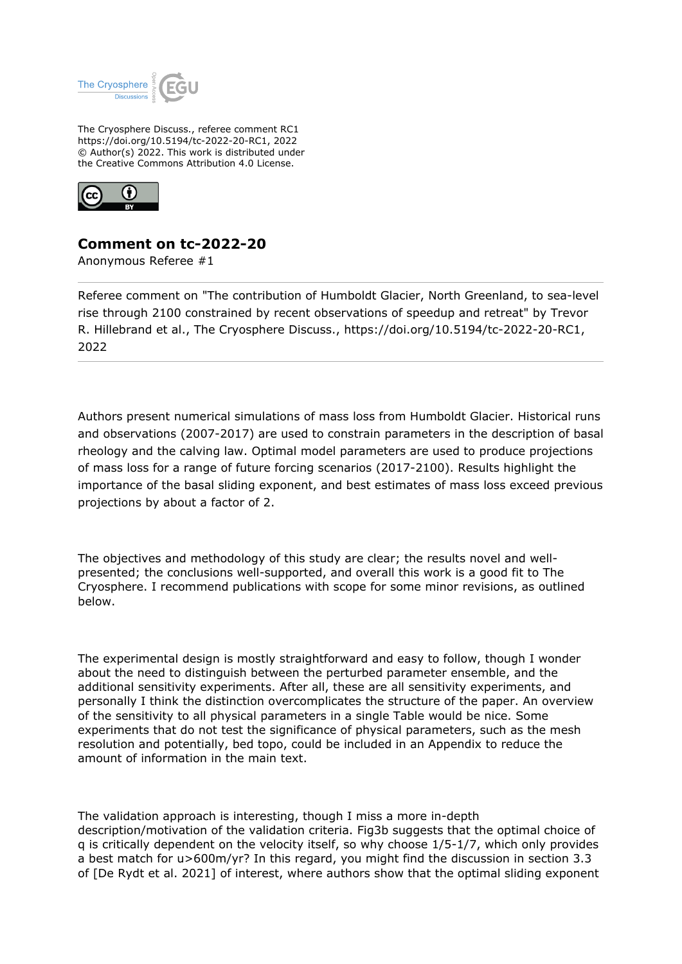

The Cryosphere Discuss., referee comment RC1 https://doi.org/10.5194/tc-2022-20-RC1, 2022 © Author(s) 2022. This work is distributed under the Creative Commons Attribution 4.0 License.



## **Comment on tc-2022-20**

Anonymous Referee #1

Referee comment on "The contribution of Humboldt Glacier, North Greenland, to sea-level rise through 2100 constrained by recent observations of speedup and retreat" by Trevor R. Hillebrand et al., The Cryosphere Discuss., https://doi.org/10.5194/tc-2022-20-RC1, 2022

Authors present numerical simulations of mass loss from Humboldt Glacier. Historical runs and observations (2007-2017) are used to constrain parameters in the description of basal rheology and the calving law. Optimal model parameters are used to produce projections of mass loss for a range of future forcing scenarios (2017-2100). Results highlight the importance of the basal sliding exponent, and best estimates of mass loss exceed previous projections by about a factor of 2.

The objectives and methodology of this study are clear; the results novel and wellpresented; the conclusions well-supported, and overall this work is a good fit to The Cryosphere. I recommend publications with scope for some minor revisions, as outlined below.

The experimental design is mostly straightforward and easy to follow, though I wonder about the need to distinguish between the perturbed parameter ensemble, and the additional sensitivity experiments. After all, these are all sensitivity experiments, and personally I think the distinction overcomplicates the structure of the paper. An overview of the sensitivity to all physical parameters in a single Table would be nice. Some experiments that do not test the significance of physical parameters, such as the mesh resolution and potentially, bed topo, could be included in an Appendix to reduce the amount of information in the main text.

The validation approach is interesting, though I miss a more in-depth description/motivation of the validation criteria. Fig3b suggests that the optimal choice of q is critically dependent on the velocity itself, so why choose 1/5-1/7, which only provides a best match for u>600m/yr? In this regard, you might find the discussion in section 3.3 of [De Rydt et al. 2021] of interest, where authors show that the optimal sliding exponent